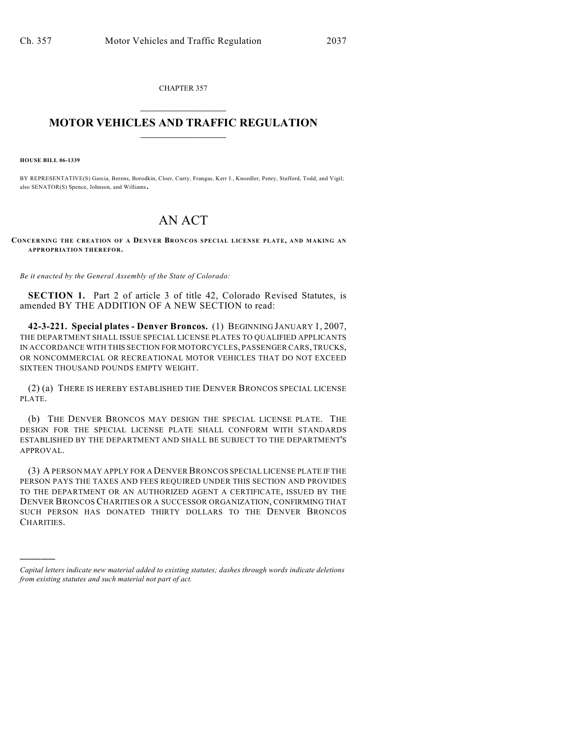CHAPTER 357  $\mathcal{L}_\text{max}$  . The set of the set of the set of the set of the set of the set of the set of the set of the set of the set of the set of the set of the set of the set of the set of the set of the set of the set of the set

## **MOTOR VEHICLES AND TRAFFIC REGULATION**  $\frac{1}{2}$  ,  $\frac{1}{2}$  ,  $\frac{1}{2}$  ,  $\frac{1}{2}$  ,  $\frac{1}{2}$  ,  $\frac{1}{2}$  ,  $\frac{1}{2}$

**HOUSE BILL 06-1339**

)))))

BY REPRESENTATIVE(S) Garcia, Berens, Borodkin, Cloer, Curry, Frangas, Kerr J., Knoedler, Penry, Stafford, Todd, and Vigil; also SENATOR(S) Spence, Johnson, and Williams.

## AN ACT

**CONCERNING THE CREATION OF A DENVER BRONCOS SPECIAL LICENSE PLATE, AND MAKING AN APPROPRIATION THEREFOR.**

*Be it enacted by the General Assembly of the State of Colorado:*

**SECTION 1.** Part 2 of article 3 of title 42, Colorado Revised Statutes, is amended BY THE ADDITION OF A NEW SECTION to read:

**42-3-221. Special plates - Denver Broncos.** (1) BEGINNING JANUARY 1, 2007, THE DEPARTMENT SHALL ISSUE SPECIAL LICENSE PLATES TO QUALIFIED APPLICANTS IN ACCORDANCE WITH THIS SECTION FOR MOTORCYCLES, PASSENGER CARS, TRUCKS, OR NONCOMMERCIAL OR RECREATIONAL MOTOR VEHICLES THAT DO NOT EXCEED SIXTEEN THOUSAND POUNDS EMPTY WEIGHT.

(2) (a) THERE IS HEREBY ESTABLISHED THE DENVER BRONCOS SPECIAL LICENSE PLATE.

(b) THE DENVER BRONCOS MAY DESIGN THE SPECIAL LICENSE PLATE. THE DESIGN FOR THE SPECIAL LICENSE PLATE SHALL CONFORM WITH STANDARDS ESTABLISHED BY THE DEPARTMENT AND SHALL BE SUBJECT TO THE DEPARTMENT'S APPROVAL.

(3) A PERSON MAY APPLY FOR A DENVER BRONCOS SPECIAL LICENSE PLATE IF THE PERSON PAYS THE TAXES AND FEES REQUIRED UNDER THIS SECTION AND PROVIDES TO THE DEPARTMENT OR AN AUTHORIZED AGENT A CERTIFICATE, ISSUED BY THE DENVER BRONCOS CHARITIES OR A SUCCESSOR ORGANIZATION, CONFIRMING THAT SUCH PERSON HAS DONATED THIRTY DOLLARS TO THE DENVER BRONCOS CHARITIES.

*Capital letters indicate new material added to existing statutes; dashes through words indicate deletions from existing statutes and such material not part of act.*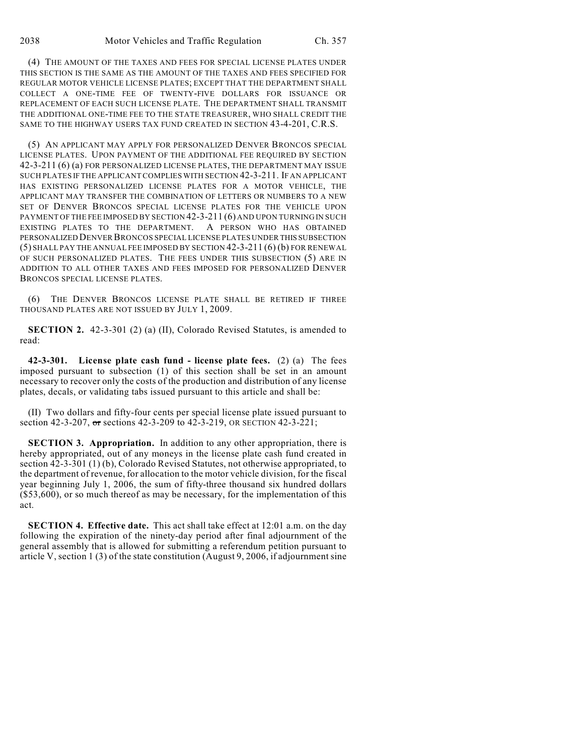(4) THE AMOUNT OF THE TAXES AND FEES FOR SPECIAL LICENSE PLATES UNDER THIS SECTION IS THE SAME AS THE AMOUNT OF THE TAXES AND FEES SPECIFIED FOR REGULAR MOTOR VEHICLE LICENSE PLATES; EXCEPT THAT THE DEPARTMENT SHALL COLLECT A ONE-TIME FEE OF TWENTY-FIVE DOLLARS FOR ISSUANCE OR REPLACEMENT OF EACH SUCH LICENSE PLATE. THE DEPARTMENT SHALL TRANSMIT THE ADDITIONAL ONE-TIME FEE TO THE STATE TREASURER, WHO SHALL CREDIT THE SAME TO THE HIGHWAY USERS TAX FUND CREATED IN SECTION 43-4-201, C.R.S.

(5) AN APPLICANT MAY APPLY FOR PERSONALIZED DENVER BRONCOS SPECIAL LICENSE PLATES. UPON PAYMENT OF THE ADDITIONAL FEE REQUIRED BY SECTION 42-3-211 (6) (a) FOR PERSONALIZED LICENSE PLATES, THE DEPARTMENT MAY ISSUE SUCH PLATES IF THE APPLICANT COMPLIES WITH SECTION 42-3-211. IF AN APPLICANT HAS EXISTING PERSONALIZED LICENSE PLATES FOR A MOTOR VEHICLE, THE APPLICANT MAY TRANSFER THE COMBINATION OF LETTERS OR NUMBERS TO A NEW SET OF DENVER BRONCOS SPECIAL LICENSE PLATES FOR THE VEHICLE UPON PAYMENT OF THE FEE IMPOSED BY SECTION 42-3-211 (6) AND UPON TURNING IN SUCH EXISTING PLATES TO THE DEPARTMENT. A PERSON WHO HAS OBTAINED PERSONALIZED DENVER BRONCOS SPECIAL LICENSE PLATES UNDER THIS SUBSECTION (5) SHALL PAY THE ANNUAL FEE IMPOSED BY SECTION 42-3-211 (6) (b) FOR RENEWAL OF SUCH PERSONALIZED PLATES. THE FEES UNDER THIS SUBSECTION (5) ARE IN ADDITION TO ALL OTHER TAXES AND FEES IMPOSED FOR PERSONALIZED DENVER BRONCOS SPECIAL LICENSE PLATES.

(6) THE DENVER BRONCOS LICENSE PLATE SHALL BE RETIRED IF THREE THOUSAND PLATES ARE NOT ISSUED BY JULY 1, 2009.

**SECTION 2.** 42-3-301 (2) (a) (II), Colorado Revised Statutes, is amended to read:

**42-3-301. License plate cash fund - license plate fees.** (2) (a) The fees imposed pursuant to subsection (1) of this section shall be set in an amount necessary to recover only the costs of the production and distribution of any license plates, decals, or validating tabs issued pursuant to this article and shall be:

(II) Two dollars and fifty-four cents per special license plate issued pursuant to section 42-3-207, or sections 42-3-209 to 42-3-219, OR SECTION 42-3-221;

**SECTION 3. Appropriation.** In addition to any other appropriation, there is hereby appropriated, out of any moneys in the license plate cash fund created in section 42-3-301 (1) (b), Colorado Revised Statutes, not otherwise appropriated, to the department of revenue, for allocation to the motor vehicle division, for the fiscal year beginning July 1, 2006, the sum of fifty-three thousand six hundred dollars (\$53,600), or so much thereof as may be necessary, for the implementation of this act.

**SECTION 4. Effective date.** This act shall take effect at 12:01 a.m. on the day following the expiration of the ninety-day period after final adjournment of the general assembly that is allowed for submitting a referendum petition pursuant to article V, section 1 (3) of the state constitution (August 9, 2006, if adjournment sine